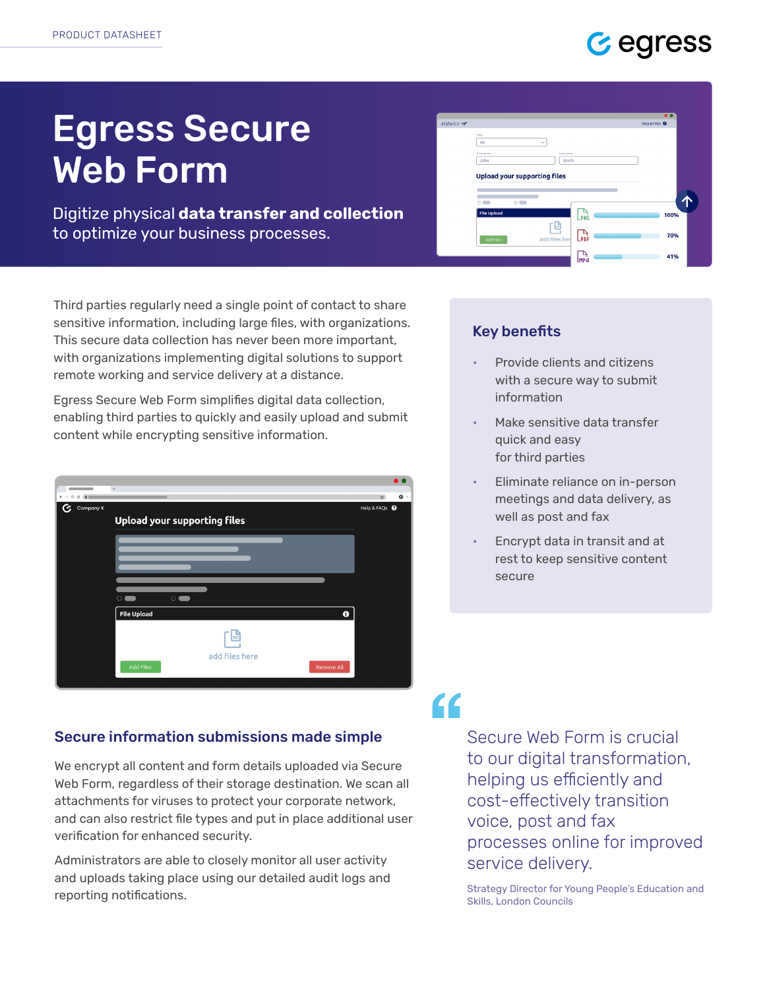### G egress

# Egress Secure Web Form

Digitize physical data transfer and collection to optimize your business processes.

Third parties regularly need a single point of contact to share sensitive information, including large files, with organizations. This secure data collection has never been more important, with organizations implementing digital solutions to support remote working and service delivery at a distance.

Egress Secure Web Form simplifies digital data collection, enabling third parties to quickly and easily upload and submit content while encrypting sensitive information.



#### Secure information submissions made simple

We encrypt all content and form details uploaded via Secure Web Form, regardless of their storage destination. We scan all attachments for viruses to protect your corporate network, and can also restrict file types and put in place additional user verification for enhanced security.

Administrators are able to closely monitor all user activity and uploads taking place using our detailed audit logs and reporting notifications.

|            |                                     |                   |               |                 | $\bullet$              |   |
|------------|-------------------------------------|-------------------|---------------|-----------------|------------------------|---|
| stateAir → |                                     |                   |               |                 | <b>Help &amp; FAQs</b> |   |
|            | Title                               |                   |               |                 |                        |   |
|            | Mr                                  |                   | $\checkmark$  |                 |                        |   |
|            | First name                          |                   | Last name     |                 |                        |   |
|            | John                                |                   | Smith         |                 |                        |   |
|            |                                     |                   |               |                 |                        |   |
|            | <b>Upload your supporting files</b> |                   |               |                 |                        |   |
|            |                                     |                   |               |                 |                        |   |
|            |                                     |                   |               |                 |                        |   |
|            |                                     |                   |               |                 |                        |   |
|            | $\cap$<br>m                         | $\circ$ $\bullet$ |               |                 |                        | 1 |
|            | <b>File Upload</b>                  |                   |               |                 |                        |   |
|            |                                     |                   |               | LPNG            | 100%                   |   |
|            |                                     |                   |               |                 |                        |   |
|            |                                     |                   |               |                 | 70%                    |   |
|            | <b>Add Files</b>                    |                   | add files her | <b>LPDF</b>     |                        |   |
|            |                                     |                   |               | $\frac{P}{MPA}$ | 41%                    |   |

#### Key benefits

- Provide clients and citizens with a secure way to submit information
- Make sensitive data transfer quick and easy for third parties
- Eliminate reliance on in-person meetings and data delivery, as well as post and fax
- Encrypt data in transit and at rest to keep sensitive content secure

## $\epsilon$

Secure Web Form is crucial to our digital transformation, helping us efficiently and cost-effectively transition voice, post and fax processes online for improved service delivery.

Strategy Director for Young People's Education and Skills, London Councils